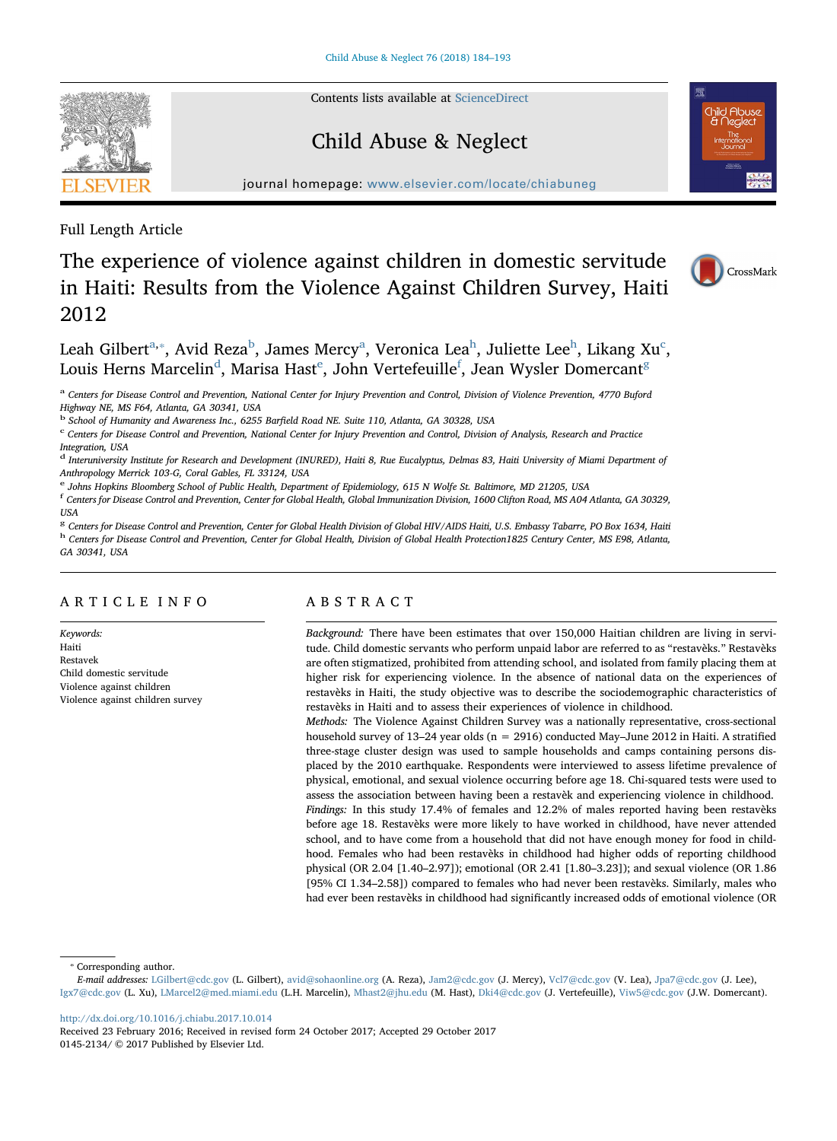Contents lists available at [ScienceDirect](http://www.sciencedirect.com/science/journal/01452134)

## Child Abuse & Neglect

journal homepage: [www.elsevier.com/locate/chiabuneg](https://www.elsevier.com/locate/chiabuneg)

Full Length Article

## The experience of violence against children in domestic servitude in Haiti: Results from the Violence Against Children Survey, Haiti 2012

Leah Gilbert $^{\rm a, *},$  Avid Reza $^{\rm b}$ , James Mercy $^{\rm a}$ , Veronica Lea $^{\rm h}$ , Juliette Lee $^{\rm h}$ , Likang Xu $^{\rm c}$ , Louis Herns Marcelin $^{\text{d}}$ , Marisa Hast $^{\text{e}}$ , John Vertefeuille $^{\text{f}}$ , Jean Wysler Domercant $^{\text{g}}$ 

<sup>a</sup> Centers for Disease Control and Prevention, National Center for Injury Prevention and Control, Division of Violence Prevention, 4770 Buford Highway NE, MS F64, Atlanta, GA 30341, USA<br><sup>b</sup> School of Humanity and Awareness Inc., 6255 Barfield Road NE. Suite 110, Atlanta, GA 30328, USA

<sup>c</sup> Centers for Disease Control and Prevention, National Center for Injury Prevention and Control, Division of Analysis, Research and Practice Integration, USA

<sup>d</sup> Interuniversity Institute for Research and Development (INURED), Haiti 8, Rue Eucalyptus, Delmas 83, Haiti University of Miami Department of Anthropology Merrick 103-G, Coral Gables, FL 33124, USA

<sup>e</sup> Johns Hopkins Bloomberg School of Public Health, Department of Epidemiology, 615 N Wolfe St. Baltimore, MD 21205, USA

f Centers for Disease Control and Prevention, Center for Global Health, Global Immunization Division, 1600 Clifton Road, MS A04 Atlanta, GA 30329, USA

<sup>g</sup> Centers for Disease Control and Prevention, Center for Global Health Division of Global HIV/AIDS Haiti, U.S. Embassy Tabarre, PO Box 1634, Haiti <sup>h</sup> Centers for Disease Control and Prevention, Center for Global Health, Division of Global Health Protection1825 Century Center, MS E98, Atlanta, GA 30341, USA

#### ARTICLE INFO

Keywords: Haiti Restavek Child domestic servitude Violence against children Violence against children survey

### ABSTRACT

Background: There have been estimates that over 150,000 Haitian children are living in servitude. Child domestic servants who perform unpaid labor are referred to as "restavèks." Restavèks are often stigmatized, prohibited from attending school, and isolated from family placing them at higher risk for experiencing violence. In the absence of national data on the experiences of restavèks in Haiti, the study objective was to describe the sociodemographic characteristics of restavèks in Haiti and to assess their experiences of violence in childhood.

Methods: The Violence Against Children Survey was a nationally representative, cross-sectional household survey of 13–24 year olds (n = 2916) conducted May–June 2012 in Haiti. A stratified three-stage cluster design was used to sample households and camps containing persons displaced by the 2010 earthquake. Respondents were interviewed to assess lifetime prevalence of physical, emotional, and sexual violence occurring before age 18. Chi-squared tests were used to assess the association between having been a restavèk and experiencing violence in childhood. Findings: In this study 17.4% of females and 12.2% of males reported having been restavèks before age 18. Restavèks were more likely to have worked in childhood, have never attended school, and to have come from a household that did not have enough money for food in childhood. Females who had been restavèks in childhood had higher odds of reporting childhood physical (OR 2.04 [1.40–2.97]); emotional (OR 2.41 [1.80–3.23]); and sexual violence (OR 1.86 [95% CI 1.34–2.58]) compared to females who had never been restavèks. Similarly, males who had ever been restavèks in childhood had significantly increased odds of emotional violence (OR

⁎ Corresponding author.

E-mail addresses: [LGilbert@cdc.gov](mailto:LGilbert@cdc.gov) (L. Gilbert), [avid@sohaonline.org](mailto:avid@sohaonline.org) (A. Reza), [Jam2@cdc.gov](mailto:Jam2@cdc.gov) (J. Mercy), [Vcl7@cdc.gov](mailto:Vcl7@cdc.gov) (V. Lea), [Jpa7@cdc.gov](mailto:Jpa7@cdc.gov) (J. Lee), [Igx7@cdc.gov](mailto:Igx7@cdc.gov) (L. Xu), [LMarcel2@med.miami.edu](mailto:LMarcel2@med.miami.edu) (L.H. Marcelin), [Mhast2@jhu.edu](mailto:Mhast2@jhu.edu) (M. Hast), [Dki4@cdc.gov](mailto:Dki4@cdc.gov) (J. Vertefeuille), [Viw5@cdc.gov](mailto:Viw5@cdc.gov) (J.W. Domercant).

<http://dx.doi.org/10.1016/j.chiabu.2017.10.014>

Received 23 February 2016; Received in revised form 24 October 2017; Accepted 29 October 2017 0145-2134/ © 2017 Published by Elsevier Ltd.





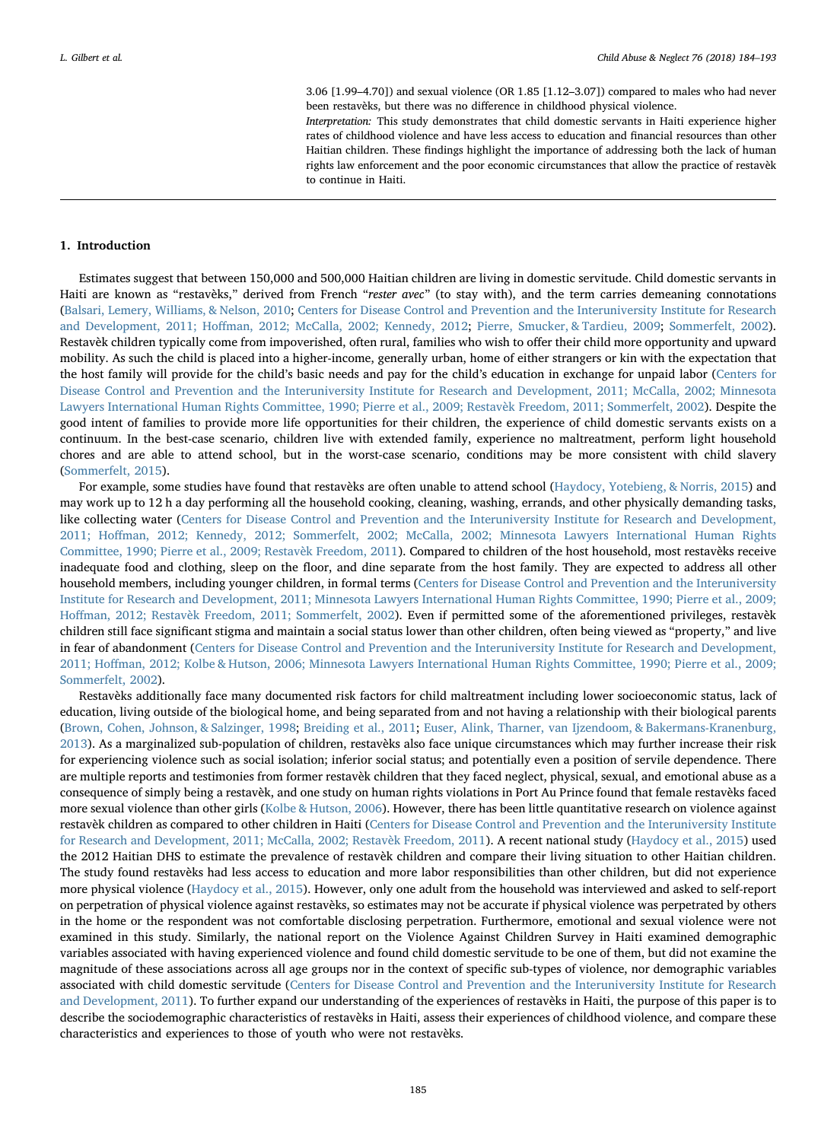3.06 [1.99–4.70]) and sexual violence (OR 1.85 [1.12–3.07]) compared to males who had never been restavèks, but there was no difference in childhood physical violence.

Interpretation: This study demonstrates that child domestic servants in Haiti experience higher rates of childhood violence and have less access to education and financial resources than other Haitian children. These findings highlight the importance of addressing both the lack of human rights law enforcement and the poor economic circumstances that allow the practice of restavèk to continue in Haiti.

#### 1. Introduction

Estimates suggest that between 150,000 and 500,000 Haitian children are living in domestic servitude. Child domestic servants in Haiti are known as "restavèks," derived from French "rester avec" (to stay with), and the term carries demeaning connotations (Balsari, Lemery, Williams, & Nelson, 2010; Centers for Disease Control and Prevention and the Interuniversity Institute for Research and Development, 2011; Hoffman, 2012; McCalla, 2002; Kennedy, 2012; Pierre, Smucker, & Tardieu, 2009; Sommerfelt, 2002). Restavèk children typically come from impoverished, often rural, families who wish to offer their child more opportunity and upward mobility. As such the child is placed into a higher-income, generally urban, home of either strangers or kin with the expectation that the host family will provide for the child's basic needs and pay for the child's education in exchange for unpaid labor (Centers for Disease Control and Prevention and the Interuniversity Institute for Research and Development, 2011; McCalla, 2002; Minnesota Lawyers International Human Rights Committee, 1990; Pierre et al., 2009; Restavèk Freedom, 2011; Sommerfelt, 2002). Despite the good intent of families to provide more life opportunities for their children, the experience of child domestic servants exists on a continuum. In the best-case scenario, children live with extended family, experience no maltreatment, perform light household chores and are able to attend school, but in the worst-case scenario, conditions may be more consistent with child slavery (Sommerfelt, 2015).

For example, some studies have found that restavèks are often unable to attend school (Haydocy, Yotebieng, & Norris, 2015) and may work up to 12 h a day performing all the household cooking, cleaning, washing, errands, and other physically demanding tasks, like collecting water (Centers for Disease Control and Prevention and the Interuniversity Institute for Research and Development, 2011; Hoffman, 2012; Kennedy, 2012; Sommerfelt, 2002; McCalla, 2002; Minnesota Lawyers International Human Rights Committee, 1990; Pierre et al., 2009; Restavèk Freedom, 2011). Compared to children of the host household, most restavèks receive inadequate food and clothing, sleep on the floor, and dine separate from the host family. They are expected to address all other household members, including younger children, in formal terms (Centers for Disease Control and Prevention and the Interuniversity Institute for Research and Development, 2011; Minnesota Lawyers International Human Rights Committee, 1990; Pierre et al., 2009; Hoffman, 2012; Restavèk Freedom, 2011; Sommerfelt, 2002). Even if permitted some of the aforementioned privileges, restavèk children still face significant stigma and maintain a social status lower than other children, often being viewed as "property," and live in fear of abandonment (Centers for Disease Control and Prevention and the Interuniversity Institute for Research and Development, 2011; Hoffman, 2012; Kolbe & Hutson, 2006; Minnesota Lawyers International Human Rights Committee, 1990; Pierre et al., 2009; Sommerfelt, 2002).

Restavèks additionally face many documented risk factors for child maltreatment including lower socioeconomic status, lack of education, living outside of the biological home, and being separated from and not having a relationship with their biological parents (Brown, Cohen, Johnson, & Salzinger, 1998; Breiding et al., 2011; Euser, Alink, Tharner, van Ijzendoom, & Bakermans-Kranenburg, 2013). As a marginalized sub-population of children, restavèks also face unique circumstances which may further increase their risk for experiencing violence such as social isolation; inferior social status; and potentially even a position of servile dependence. There are multiple reports and testimonies from former restavèk children that they faced neglect, physical, sexual, and emotional abuse as a consequence of simply being a restavèk, and one study on human rights violations in Port Au Prince found that female restavèks faced more sexual violence than other girls (Kolbe & Hutson, 2006). However, there has been little quantitative research on violence against restavèk children as compared to other children in Haiti (Centers for Disease Control and Prevention and the Interuniversity Institute for Research and Development, 2011; McCalla, 2002; Restavèk Freedom, 2011). A recent national study (Haydocy et al., 2015) used the 2012 Haitian DHS to estimate the prevalence of restavèk children and compare their living situation to other Haitian children. The study found restavèks had less access to education and more labor responsibilities than other children, but did not experience more physical violence (Haydocy et al., 2015). However, only one adult from the household was interviewed and asked to self-report on perpetration of physical violence against restavèks, so estimates may not be accurate if physical violence was perpetrated by others in the home or the respondent was not comfortable disclosing perpetration. Furthermore, emotional and sexual violence were not examined in this study. Similarly, the national report on the Violence Against Children Survey in Haiti examined demographic variables associated with having experienced violence and found child domestic servitude to be one of them, but did not examine the magnitude of these associations across all age groups nor in the context of specific sub-types of violence, nor demographic variables associated with child domestic servitude (Centers for Disease Control and Prevention and the Interuniversity Institute for Research and Development, 2011). To further expand our understanding of the experiences of restavèks in Haiti, the purpose of this paper is to describe the sociodemographic characteristics of restavèks in Haiti, assess their experiences of childhood violence, and compare these characteristics and experiences to those of youth who were not restavèks.